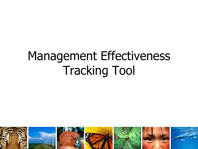## Management Effectiveness Tracking Tool

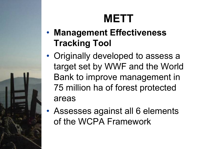### **METT**

- **Management Effectiveness Tracking Tool**
- Originally developed to assess a target set by WWF and the World Bank to improve management in 75 million ha of forest protected areas
- Assesses against all 6 elements of the WCPA Framework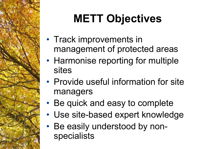# **METT Objectives**

- Track improvements in management of protected areas
- Harmonise reporting for multiple sites
- Provide useful information for site managers
- Be quick and easy to complete
- Use site-based expert knowledge
- Be easily understood by nonspecialists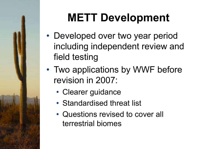## **METT Development**

- Developed over two year period including independent review and field testing and field testing
- Two applications by WWF before revision in 2007:
	- Clearer guidance
	- Standardised threat list
	- Questions revised to cover all terrestrial biomes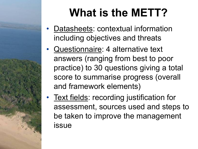### **What is the METT?**

- Datasheets: contextual information including objectives and threats
- Questionnaire: 4 alternative text answers (ranging from best to poor practice) to 30 questions giving a total score to summarise progress (overall and framework elements)
- Text fields: recording justification for assessment, sources used and steps to be taken to improve the management issue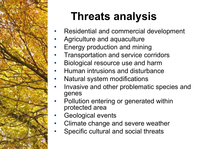

### **Threats analysis**

- Residential and commercial development
- Agriculture and aquaculture
- Energy production and mining
- Transportation and service corridors
- Biological resource use and harm
- Human intrusions and disturbance
- Natural system modifications
- Invasive and other problematic species and genes
- Pollution entering or generated within protected area
- Geological events
- Climate change and severe weather
- Specific cultural and social threats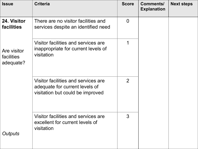| <b>Issue</b>                           | <b>Criteria</b>                                                                                           | <b>Score</b>   | <b>Comments/</b><br><b>Explanation</b> | <b>Next steps</b> |
|----------------------------------------|-----------------------------------------------------------------------------------------------------------|----------------|----------------------------------------|-------------------|
| 24. Visitor<br><b>facilities</b>       | There are no visitor facilities and<br>services despite an identified need                                | $\overline{0}$ |                                        |                   |
| Are visitor<br>facilities<br>adequate? | Visitor facilities and services are<br>inappropriate for current levels of<br>visitation                  | 1              |                                        |                   |
|                                        | Visitor facilities and services are<br>adequate for current levels of<br>visitation but could be improved | $\overline{2}$ |                                        |                   |
| Outputs                                | Visitor facilities and services are<br>excellent for current levels of<br>visitation                      | 3              |                                        |                   |
|                                        |                                                                                                           |                |                                        |                   |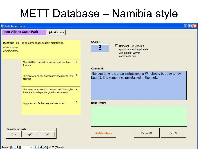### METT Database – Namibia style

| <b>B</b> Data Input Form    |                                                 |                                                         |          |                      |                                                                                                       |                                                                                                                  |       | - 13 |
|-----------------------------|-------------------------------------------------|---------------------------------------------------------|----------|----------------------|-------------------------------------------------------------------------------------------------------|------------------------------------------------------------------------------------------------------------------|-------|------|
| Daan Viljoen Game Park      |                                                 | <b>Edit site data</b>                                   |          |                      |                                                                                                       |                                                                                                                  |       |      |
| Maintenance<br>of equipment | Question 19 Is equipment adequately maintained? |                                                         |          | Score:<br>1          | $\nabla$ Relevant - un-check if<br>question is not applicable,<br>and explain why in<br>comments box. |                                                                                                                  |       |      |
|                             | facilities                                      | There is little or no maintenance of equipment and      | $\bf{0}$ | <b>Comment:</b>      |                                                                                                       |                                                                                                                  |       |      |
|                             | facilities                                      | There is some ad hoc maintenance of equipment and $1$   |          |                      |                                                                                                       | The equipment is often maintained in Windhoek, but due to low<br>budget, it is sometimes maintained in the park. |       |      |
|                             | there are some important gaps in maintenance    | There is maintenance of equipment and facilities, but 2 |          |                      |                                                                                                       |                                                                                                                  |       |      |
|                             | Equipment and facilities are well maintained    |                                                         | 3        | <b>Next Steps:</b>   |                                                                                                       |                                                                                                                  |       |      |
|                             |                                                 |                                                         |          |                      |                                                                                                       |                                                                                                                  |       |      |
| <b>Navigate records</b>     |                                                 |                                                         |          |                      |                                                                                                       |                                                                                                                  |       |      |
| Q10                         | Q20                                             | Q30                                                     |          | <b>Add Questions</b> |                                                                                                       | Previous Q                                                                                                       | NextQ |      |

Record:  $\boxed{1}$   $\boxed{1}$ 20 | | | | | | \* | of 37 (Filtered)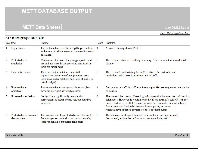### **METT DATABASE OUTPUT**

#### **METT Data Sheets**

A i-A is Hotsprings Game Park

jons@talk21.com

Ai-Ais Hotsprings Game Park

|    | <b>Que stion</b>                       | Criteria                                                                                                                                                        | Score          | Comment                                                                                                                                                                                                                                                                                                                                                           |
|----|----------------------------------------|-----------------------------------------------------------------------------------------------------------------------------------------------------------------|----------------|-------------------------------------------------------------------------------------------------------------------------------------------------------------------------------------------------------------------------------------------------------------------------------------------------------------------------------------------------------------------|
|    | Legal status                           | The protected area has been legally gazetted (or<br>in the case of private reserves is owned by a trust<br>or similar)                                          | 3              | Ai-Ais Hotsprings Game Park                                                                                                                                                                                                                                                                                                                                       |
|    | Protected area<br>regulations          | Mechanisms for controlling inappropriate land<br>use and activities in the protected area exist but<br>there are major gaps                                     |                | There is no control over fishing or mining. There is an international border<br>dispute.                                                                                                                                                                                                                                                                          |
| 3  | aw enforcement                         | There are major deficiencies in staff<br>capacity/resources to enforce protected area<br>legislation and regulations (e.g. lack of skills, no<br>patrol budget) |                | There is no formal training for staff to enforce the park rules and<br>regulations. Also there is a serious lack of staff.                                                                                                                                                                                                                                        |
|    | Protected area<br>objectives           | The protected area has agreed objectives, but<br>these are only partially implemented                                                                           | 2              | Due to lack of staff, less effort is being applied into management to meet the<br>objectives.                                                                                                                                                                                                                                                                     |
| 5. | Protected area design                  | Design is not significantly constraining<br>achievement of major objectives, but could be<br>improved                                                           | $\overline{2}$ | The current size is okay. There is good cooperation between the park and its<br>neighbours. However, it would be worthwhile to merge Ai-Ais NP with the<br>Sperrgebiet so as to fill the gap in between the two parks, this will allow a<br>free movement of animals between the two parks, and more<br>representative/effective coverage of the Succulent Karoo. |
| 6  | Protected area boundary<br>demarcation | The boundary of the protected area is known by<br>the management authority but is not known by<br>local residents/neighbouring land users                       |                | The boundary of the park is mostly known, but is not appropriately<br>demarcated, and the fence does not cover the whole park.                                                                                                                                                                                                                                    |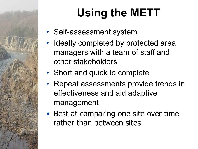## **Using the METT**

- Self-assessment system
- Ideally completed by protected area managers with a team of staff and other stakeholders
- Short and quick to complete
- Repeat assessments provide trends in effectiveness and aid adaptive management
- Best at comparing one site over time rather than between sites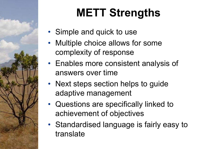# **METT Strengths**

- Simple and quick to use
- Multiple choice allows for some complexity of response
- Enables more consistent analysis of answers over time
- Next steps section helps to guide adaptive management
- Questions are specifically linked to achievement of objectives
- Standardised language is fairly easy to translate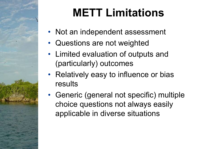## **METT Limitations**

- Not an independent assessment
- Questions are not weighted
- Limited evaluation of outputs and (particularly) outcomes
- Relatively easy to influence or bias results
- Generic (general not specific) multiple choice questions not always easily applicable in diverse situations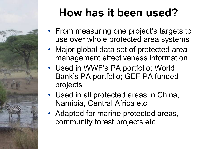

## **How has it been used?**

- From measuring one project's targets to use over whole protected area systems
- Major global data set of protected area management effectiveness information
- Used in WWF's PA portfolio; World Bank's PA portfolio; GEF PA funded projects
- Used in all protected areas in China, Namibia, Central Africa etc
- Adapted for marine protected areas, community forest projects etc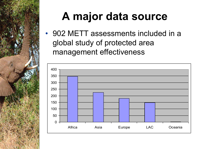

### **A major data source**

• 902 METT assessments included in a global study of protected area management effectiveness